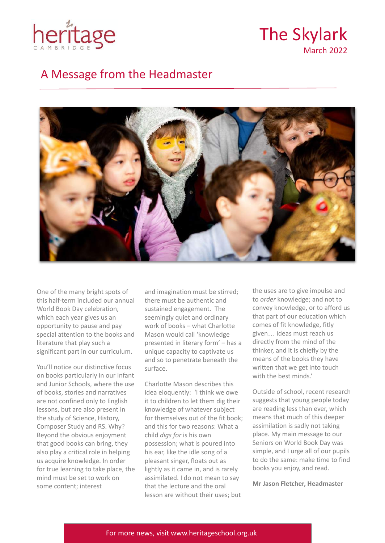

The Skylark March 2022

### A Message from the Headmaster



One of the many bright spots of this half-term included our annual World Book Day celebration, which each year gives us an opportunity to pause and pay special attention to the books and literature that play such a significant part in our curriculum.

You'll notice our distinctive focus on books particularly in our Infant and Junior Schools, where the use of books, stories and narratives are not confined only to English lessons, but are also present in the study of Science, History, Composer Study and RS. Why? Beyond the obvious enjoyment that good books can bring, they also play a critical role in helping us acquire knowledge. In order for true learning to take place, the mind must be set to work on some content; interest

and imagination must be stirred; there must be authentic and sustained engagement. The seemingly quiet and ordinary work of books – what Charlotte Mason would call 'knowledge presented in literary form' – has a unique capacity to captivate us and so to penetrate beneath the surface.

Charlotte Mason describes this idea eloquently: 'I think we owe it to children to let them dig their knowledge of whatever subject for themselves out of the fit book; and this for two reasons: What a child *digs for* is his own possession; what is poured into his ear, like the idle song of a pleasant singer, floats out as lightly as it came in, and is rarely assimilated. I do not mean to say that the lecture and the oral lesson are without their uses; but

the uses are to give impulse and to *order* knowledge; and not to convey knowledge, or to afford us that part of our education which comes of fit knowledge, fitly given… ideas must reach us directly from the mind of the thinker, and it is chiefly by the means of the books they have written that we get into touch with the hest minds'

Outside of school, recent research suggests that young people today are reading less than ever, which means that much of this deeper assimilation is sadly not taking place. My main message to our Seniors on World Book Day was simple, and I urge all of our pupils to do the same: make time to find books you enjoy, and read.

**Mr Jason Fletcher, Headmaster**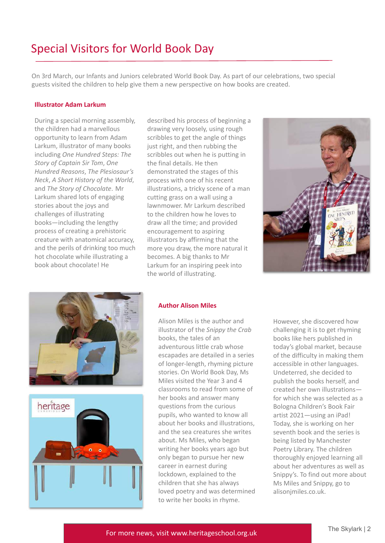# Special Visitors for World Book Day

On 3rd March, our Infants and Juniors celebrated World Book Day. As part of our celebrations, two special guests visited the children to help give them a new perspective on how books are created.

#### **Illustrator Adam Larkum**

During a special morning assembly, the children had a marvellous opportunity to learn from Adam Larkum, illustrator of many books including *One Hundred Steps: The Story of Captain Sir Tom*, *One Hundred Reasons*, *The Plesiosaur's Neck*, *A Short History of the World*, and *The Story of Chocolate*. Mr Larkum shared lots of engaging stories about the joys and challenges of illustrating books—including the lengthy process of creating a prehistoric creature with anatomical accuracy, and the perils of drinking too much hot chocolate while illustrating a book about chocolate! He

described his process of beginning a drawing very loosely, using rough scribbles to get the angle of things just right, and then rubbing the scribbles out when he is putting in the final details. He then demonstrated the stages of this process with one of his recent illustrations, a tricky scene of a man cutting grass on a wall using a lawnmower. Mr Larkum described to the children how he loves to draw all the time; and provided encouragement to aspiring illustrators by affirming that the more you draw, the more natural it becomes. A big thanks to Mr Larkum for an inspiring peek into the world of illustrating.







#### **Author Alison Miles**

Alison Miles is the author and illustrator of the *Snippy the Crab* books, the tales of an adventurous little crab whose escapades are detailed in a series of longer-length, rhyming picture stories. On World Book Day, Ms Miles visited the Year 3 and 4 classrooms to read from some of her books and answer many questions from the curious pupils, who wanted to know all about her books and illustrations, and the sea creatures she writes about. Ms Miles, who began writing her books years ago but only began to pursue her new career in earnest during lockdown, explained to the children that she has always loved poetry and was determined to write her books in rhyme.

However, she discovered how challenging it is to get rhyming books like hers published in today's global market, because of the difficulty in making them accessible in other languages. Undeterred, she decided to publish the books herself, and created her own illustrations for which she was selected as a Bologna Children's Book Fair artist 2021—using an iPad! Today, she is working on her seventh book and the series is being listed by Manchester Poetry Library. The children thoroughly enjoyed learning all about her adventures as well as Snippy's. To find out more about Ms Miles and Snippy, go to alisonjmiles.co.uk.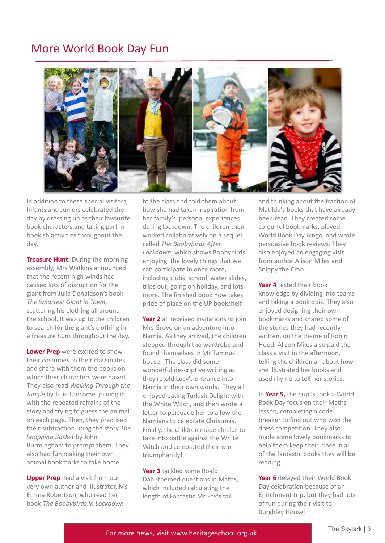## More World Book Day Fun



In addition to these special visitors, Infants and Juniors celebrated the day by dressing up as their favourite book characters and taking part in bookish activities throughout the day.

**Treasure Hunt:** During the morning assembly, Mrs Watkins announced that the recent high winds had caused lots of disruption for the giant from Julia Donaldson's book *The Smartest Giant in Town*, scattering his clothing all around the school. It was up to the children to search for the giant's clothing in a treasure hunt throughout the day.

**Lower Prep** were excited to show their costumes to their classmates and share with them the books on which their characters were based. They also read *Walking Through the Jungle* by Julie Lancome, joining in with the repeated refrains of the story and trying to guess the animal on each page. Then, they practised their subtraction using the story *The Shopping Basket* by John Burmingham to prompt them. They also had fun making their own animal bookmarks to take home.

**Upper Prep** had a visit from our very own author and illustrator, Ms Emma Robertson, who read her book *The Boobybirds in Lockdown*

to the class and told them about how she had taken inspiration from her family's personal experiences during lockdown. The children then worked collaboratively on a sequel called *The Boobybirds After Lockdown*, which shows Boobybirds enjoying the lovely things that we can participate in once more, including clubs, school, water slides, trips out, going on holiday, and lots more. The finished book now takes pride of place on the UP bookshelf.

**Year 2** all received invitations to join Mrs Grove on an adventure into Narnia. As they arrived, the children stepped through the wardrobe and found themselves in Mr Tumnus' house. The class did some wonderful descriptive writing as they retold Lucy's entrance into Narnia in their own words. They all enjoyed eating Turkish Delight with the White Witch, and then wrote a letter to persuade her to allow the Narnians to celebrate Christmas. Finally, the children made shields to take into battle against the White Witch and celebrated their win triumphantly!

**Year 3** tackled some Roald Dahl-themed questions in Maths, which included calculating the length of Fantastic Mr Fox's tail

and thinking about the fraction of Matilda's books that have already been read. They created some colourful bookmarks, played World Book Day Bingo, and wrote persuasive book reviews. They also enjoyed an engaging visit from author Alison Miles and Snippy the Crab.

**Year 4** tested their book knowledge by dividing into teams and taking a book quiz. They also enjoyed designing their own bookmarks and shared some of the stories they had recently written, on the theme of Robin Hood. Alison Miles also paid the class a visit in the afternoon, telling the children all about how she illustrated her books and used rhyme to tell her stories.

In **Year 5,** the pupils took a World Book Day focus on their Maths lesson, completing a code breaker to find out who won the dress competition. They also made some lovely bookmarks to help them keep their place in all of the fantastic books they will be reading.

**Year 6** delayed their World Book Day celebration because of an Enrichment trip, but they had lots of fun during their visit to Burghley House!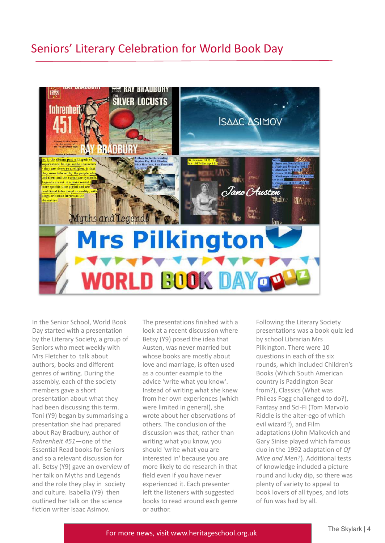### Seniors' Literary Celebration for World Book Day



In the Senior School, World Book Day started with a presentation by the Literary Society, a group of Seniors who meet weekly with Mrs Fletcher to talk about authors, books and different genres of writing. During the assembly, each of the society members gave a short presentation about what they had been discussing this term. Toni (Y9) began by summarising a presentation she had prepared about Ray Bradbury, author of *Fahrenheit 451*—one of the Essential Read books for Seniors and so a relevant discussion for all. Betsy (Y9) gave an overview of her talk on Myths and Legends and the role they play in society and culture. Isabella (Y9) then outlined her talk on the science fiction writer Isaac Asimov.

The presentations finished with a look at a recent discussion where Betsy (Y9) posed the idea that Austen, was never married but whose books are mostly about love and marriage, is often used as a counter example to the advice 'write what you know'. Instead of writing what she knew from her own experiences (which were limited in general), she wrote about her observations of others. The conclusion of the discussion was that, rather than writing what you know, you should 'write what you are interested in' because you are more likely to do research in that field even if you have never experienced it. Each presenter left the listeners with suggested books to read around each genre or author.

Following the Literary Society presentations was a book quiz led by school Librarian Mrs Pilkington. There were 10 questions in each of the six rounds, which included Children's Books (Which South American country is Paddington Bear from?), Classics (What was Phileas Fogg challenged to do?), Fantasy and Sci-Fi (Tom Marvolo Riddle is the alter-ego of which evil wizard?), and Film adaptations (John Malkovich and Gary Sinise played which famous duo in the 1992 adaptation of *Of Mice and Men*?). Additional tests of knowledge included a picture round and lucky dip, so there was plenty of variety to appeal to book lovers of all types, and lots of fun was had by all.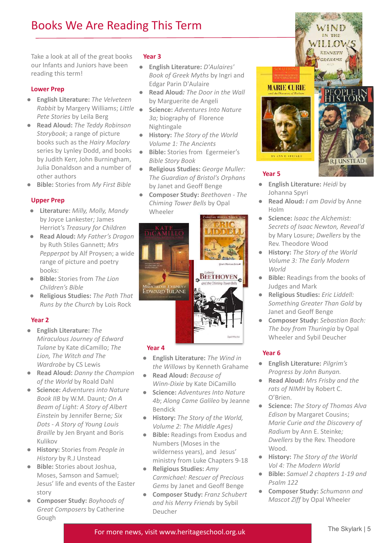# Books We Are Reading This Term

Take a look at all of the great books our Infants and Juniors have been reading this term!

### **Lower Prep**

- **English Literature:** *The Velveteen Rabbit* by Margery Williams; *Little Pete Stories* by Leila Berg
- **Read Aloud:** *The Teddy Robinson Storybook*; a range of picture books such as the *Hairy Maclary* series by Lynley Dodd, and books by Judith Kerr, John Burningham, Julia Donaldson and a number of other authors
- **Bible:** Stories from *My First Bible*

### **Upper Prep**

- **Literature:** *Milly, Molly, Mandy* by Joyce Lankester*;* James Herriot's *Treasury for Children*
- **Read Aloud:** *My Father's Dragon* by Ruth Stiles Gannett; *Mrs Pepperpot* by Alf Proysen; a wide range of picture and poetry books:
- **Bible:** Stories from *The Lion Children's Bible*
- **Religious Studies:** *The Path That Runs by the Church* by Lois Rock

### **Year 2**

- **English Literature:** *The Miraculous Journey of Edward Tulane* by Kate diCamillo; *The Lion, The Witch and The Wardrobe* by CS Lewis
- **Read Aloud:** *Danny the Champion of the World* by Roald Dahl
- **Science:** *Adventures into Nature Book IIB* by W.M. Daunt*; On A Beam of Light: A Story of Albert Einstein* by Jennifer Berne*; Six Dots - A Story of Young Louis Braille* by Jen Bryant and Boris Kulikov
- **History:** Stories from *People in History* by R.J Unstead
- **Bible:** Stories about Joshua, Moses, Samson and Samuel; Jesus' life and events of the Easter story
- **Composer Study:** *Boyhoods of Great Composers* by Catherine Gough

#### **Year 3**

- **English Literature:** *D'Aulaires' Book of Greek Myths* by Ingri and Edgar Parin D'Aulaire
- **Read Aloud***: The Door in the Wall* by Marguerite de Angeli
- **Science:** *Adventures Into Nature 3a;* biography of Florence Nightingale
- **History:** *The Story of the World Volume 1: The Ancients*
- **Bible:** Stories from Egermeier's *Bible Story Book*
- **Religious Studies:** *George Muller: The Guardian of Bristol's Orphans* by Janet and Geoff Benge
- **Composer Study:** *Beethoven The Chiming Tower Bells* by Opal Wheeler



### **Year 4**

- **English Literature:** *The Wind in the Willows* by Kenneth Grahame
- **Read Aloud:** *Because of Winn-Dixie* by Kate DiCamillo
- **Science:** *Adventures Into Nature 4b*; *Along Came Galileo* by Jeanne Bendick
- **History:** *The Story of the World, Volume 2: The Middle Ages)*
- **Bible:** Readings from Exodus and Numbers (Moses in the wilderness years), and Jesus' ministry from Luke Chapters 9-18
- **Religious Studies:** *Amy Carmichael: Rescuer of Precious Gems* by Janet and Geoff Benge
- **Composer Study:** *Franz Schubert and his Merry Friends* by Sybil Deucher



- **English Literature:** *Heidi* by Johanna Spyri
- **Read Aloud:** *I am David* by Anne Holm
- **Science:** *Isaac the Alchemist: Secrets of Isaac Newton, Reveal'd* by Mary Losure; *Dwellers* by the Rev. Theodore Wood
- **History:** *The Story of the World Volume 3: The Early Modern World*
- **Bible:** Readings from th*e* books of Judges and Mark
- **Religious Studies:** *Eric Liddell: Something Greater Than Gold* by Janet and Geoff Benge
- **Composer Study:** *Sebastian Bach: The boy from Thuringia* by Opal Wheeler and Sybil Deucher

### **Year 6**

- *●* **English Literature:** *Pilgrim's Progress by John Bunyan.*
- *●* **Read Aloud:** *Mrs Frisby and the rats of NIMH* by Robert C. O'Brien.
- *●* **Science:** *The Story of Thomas Alva Edison* by Margaret Cousins; *Marie Curie and the Discovery of Radium* by Ann E. Steinke*; Dwellers* by the Rev. Theodore Wood.
- *●* **History:** *The Story of the World Vol 4: The Modern World*
- *●* **Bible:** *Samuel 2 chapters 1-19 and Psalm 122*
- *●* **Composer Study:** *Schumann and Mascot Ziff* by Opal Wheeler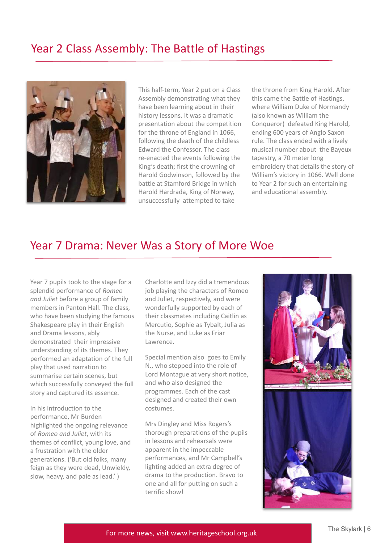## Year 2 Class Assembly: The Battle of Hastings



This half-term, Year 2 put on a Class Assembly demonstrating what they have been learning about in their history lessons. It was a dramatic presentation about the competition for the throne of England in 1066, following the death of the childless Edward the Confessor. The class re-enacted the events following the King's death; first the crowning of Harold Godwinson, followed by the battle at Stamford Bridge in which Harold Hardrada, King of Norway, unsuccessfully attempted to take

the throne from King Harold. After this came the Battle of Hastings, where William Duke of Normandy (also known as William the Conqueror) defeated King Harold, ending 600 years of Anglo Saxon rule. The class ended with a lively musical number about the Bayeux tapestry, a 70 meter long embroidery that details the story of William's victory in 1066. Well done to Year 2 for such an entertaining and educational assembly.

### Year 7 Drama: Never Was a Story of More Woe

Year 7 pupils took to the stage for a splendid performance of *Romeo and Juliet* before a group of family members in Panton Hall. The class, who have been studying the famous Shakespeare play in their English and Drama lessons, ably demonstrated their impressive understanding of its themes. They performed an adaptation of the full play that used narration to summarise certain scenes, but which successfully conveyed the full story and captured its essence.

In his introduction to the performance, Mr Burden highlighted the ongoing relevance of *Romeo and Juliet*, with its themes of conflict, young love, and a frustration with the older generations. ('But old folks, many feign as they were dead, Unwieldy, slow, heavy, and pale as lead.' )

Charlotte and Izzy did a tremendous job playing the characters of Romeo and Juliet, respectively, and were wonderfully supported by each of their classmates including Caitlin as Mercutio, Sophie as Tybalt, Julia as the Nurse, and Luke as Friar Lawrence.

Special mention also goes to Emily N., who stepped into the role of Lord Montague at very short notice, and who also designed the programmes. Each of the cast designed and created their own costumes.

Mrs Dingley and Miss Rogers's thorough preparations of the pupils in lessons and rehearsals were apparent in the impeccable performances, and Mr Campbell's lighting added an extra degree of drama to the production. Bravo to one and all for putting on such a terrific show!



For more news, visit www.heritageschool.org.uk **For more news, visit www.heritageschool.org.uk**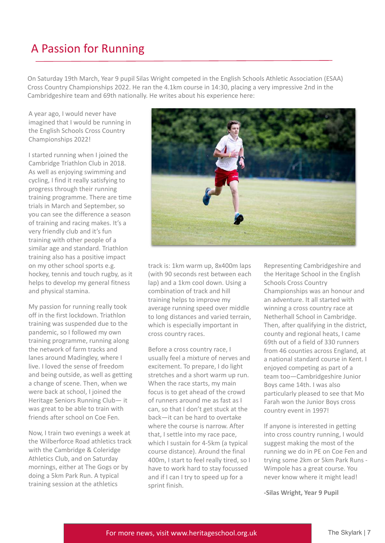# A Passion for Running

On Saturday 19th March, Year 9 pupil Silas Wright competed in the English Schools Athletic Association (ESAA) Cross Country Championships 2022. He ran the 4.1km course in 14:30, placing a very impressive 2nd in the Cambridgeshire team and 69th nationally. He writes about his experience here:

A year ago, I would never have imagined that I would be running in the English Schools Cross Country Championships 2022!

I started running when I joined the Cambridge Triathlon Club in 2018. As well as enjoying swimming and cycling, I find it really satisfying to progress through their running training programme. There are time trials in March and September, so you can see the difference a season of training and racing makes. It's a very friendly club and it's fun training with other people of a similar age and standard. Triathlon training also has a positive impact on my other school sports e.g. hockey, tennis and touch rugby, as it helps to develop my general fitness and physical stamina.

My passion for running really took off in the first lockdown. Triathlon training was suspended due to the pandemic, so I followed my own training programme, running along the network of farm tracks and lanes around Madingley, where I live. I loved the sense of freedom and being outside, as well as getting a change of scene. Then, when we were back at school, I joined the Heritage Seniors Running Club— it was great to be able to train with friends after school on Coe Fen.

Now, I train two evenings a week at the Wilberforce Road athletics track with the Cambridge & Coleridge Athletics Club, and on Saturday mornings, either at The Gogs or by doing a 5km Park Run. A typical training session at the athletics



track is: 1km warm up, 8x400m laps (with 90 seconds rest between each lap) and a 1km cool down. Using a combination of track and hill training helps to improve my average running speed over middle to long distances and varied terrain, which is especially important in cross country races.

Before a cross country race, I usually feel a mixture of nerves and excitement. To prepare, I do light stretches and a short warm up run. When the race starts, my main focus is to get ahead of the crowd of runners around me as fast as I can, so that I don't get stuck at the back—it can be hard to overtake where the course is narrow. After that, I settle into my race pace, which I sustain for 4-5km (a typical course distance). Around the final 400m, I start to feel really tired, so I have to work hard to stay focussed and if I can I try to speed up for a sprint finish.

Representing Cambridgeshire and the Heritage School in the English Schools Cross Country Championships was an honour and an adventure. It all started with winning a cross country race at Netherhall School in Cambridge. Then, after qualifying in the district, county and regional heats, I came 69th out of a field of 330 runners from 46 counties across England, at a national standard course in Kent. I enjoyed competing as part of a team too—Cambridgeshire Junior Boys came 14th. I was also particularly pleased to see that Mo Farah won the Junior Boys cross country event in 1997!

If anyone is interested in getting into cross country running, I would suggest making the most of the running we do in PE on Coe Fen and trying some 2km or 5km Park Runs - Wimpole has a great course. You never know where it might lead!

**-Silas Wright, Year 9 Pupil**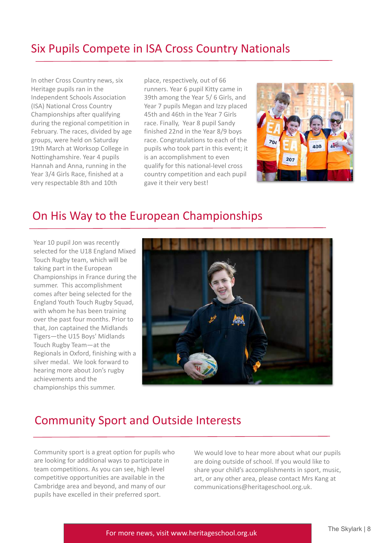# Six Pupils Compete in ISA Cross Country Nationals

In other Cross Country news, six Heritage pupils ran in the Independent Schools Association (ISA) National Cross Country Championships after qualifying during the regional competition in February. The races, divided by age groups, were held on Saturday 19th March at Worksop College in Nottinghamshire. Year 4 pupils Hannah and Anna, running in the Year 3/4 Girls Race, finished at a very respectable 8th and 10th

place, respectively, out of 66 runners. Year 6 pupil Kitty came in 39th among the Year 5/ 6 Girls, and Year 7 pupils Megan and Izzy placed 45th and 46th in the Year 7 Girls race. Finally, Year 8 pupil Sandy finished 22nd in the Year 8/9 boys race. Congratulations to each of the pupils who took part in this event; it is an accomplishment to even qualify for this national-level cross country competition and each pupil gave it their very best!



### On His Way to the European Championships

Year 10 pupil Jon was recently selected for the U18 England Mixed Touch Rugby team, which will be taking part in the European Championships in France during the summer. This accomplishment comes after being selected for the England Youth Touch Rugby Squad, with whom he has been training over the past four months. Prior to that, Jon captained the Midlands Tigers—the U15 Boys' Midlands Touch Rugby Team—at the Regionals in Oxford, finishing with a silver medal. We look forward to hearing more about Jon's rugby achievements and the championships this summer.



# Community Sport and Outside Interests

Community sport is a great option for pupils who are looking for additional ways to participate in team competitions. As you can see, high level competitive opportunities are available in the Cambridge area and beyond, and many of our pupils have excelled in their preferred sport.

We would love to hear more about what our pupils are doing outside of school. If you would like to share your child's accomplishments in sport, music, art, or any other area, please contact Mrs Kang at communications@heritageschool.org.uk.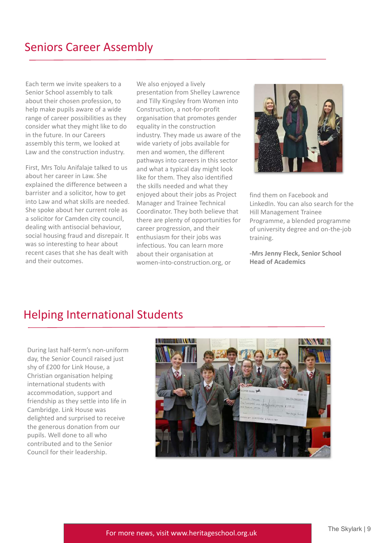Each term we invite speakers to a Senior School assembly to talk about their chosen profession, to help make pupils aware of a wide range of career possibilities as they consider what they might like to do in the future. In our Careers assembly this term, we looked at Law and the construction industry.

First, Mrs Tolu Anifalaje talked to us about her career in Law. She explained the difference between a barrister and a solicitor, how to get into Law and what skills are needed. She spoke about her current role as a solicitor for Camden city council, dealing with antisocial behaviour, social housing fraud and disrepair. It was so interesting to hear about recent cases that she has dealt with and their outcomes.

We also enjoyed a lively presentation from Shelley Lawrence and Tilly Kingsley from Women into Construction, a not-for-profit organisation that promotes gender equality in the construction industry. They made us aware of the wide variety of jobs available for men and women, the different pathways into careers in this sector and what a typical day might look like for them. They also identified the skills needed and what they enjoyed about their jobs as Project Manager and Trainee Technical Coordinator. They both believe that there are plenty of opportunities for career progression, and their enthusiasm for their jobs was infectious. You can learn more about their organisation at women-into-construction.org, or



find them on Facebook and LinkedIn. You can also search for the Hill Management Trainee Programme, a blended programme of university degree and on-the-job training.

**-Mrs Jenny Fleck, Senior School Head of Academics**

# Helping International Students

During last half-term's non-uniform day, the Senior Council raised just shy of £200 for Link House, a Christian organisation helping international students with accommodation, support and friendship as they settle into life in Cambridge. Link House was delighted and surprised to receive the generous donation from our pupils. Well done to all who contributed and to the Senior Council for their leadership.

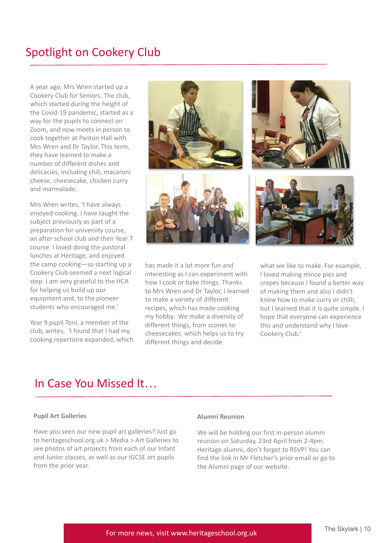# Spotlight on Cookery Club

A year ago, Mrs Wren started up a Cookery Club for Seniors. The club, which started during the height of the Covid-19 pandemic, started as a way for the pupils to connect on Zoom, and now meets in person to cook together at Panton Hall with Mrs Wren and Dr Taylor. This term, they have learned to make a number of different dishes and delicacies, including chili, macaroni cheese, cheesecake, chicken curry and marmalade.

Mrs Wren writes, 'I have always enjoyed cooking. I have taught the subject previously as part of a preparation for university course, an after school club and then Year 7 course. I loved doing the pastoral lunches at Heritage, and enjoyed the camp cooking—so starting up a Cookery Club seemed a next logical step. I am very grateful to the HCA for helping us build up our equipment and, to the pioneer students who encouraged me.'

Year 9 pupil Toni, a member of the club, writes, 'I found that I had my cooking repertoire expanded, which



has made it a lot more fun and interesting as I can experiment with how I cook or bake things. Thanks to Mrs Wren and Dr Taylor, I learned to make a variety of different recipes, which has made cooking my hobby. We make a diversity of different things, from scones to cheesecakes, which helps us to try different things and decide

what we like to make. For example, I loved making mince pies and crepes because I found a better way of making them and also I didn't know how to make curry or chilli, but I learned that it is quite simple. I hope that everyone can experience this and understand why I love Cookery Club.'

### In Case You Missed It…

#### **Pupil Art Galleries**

Have you seen our new pupil art galleries? Just go to heritageschool.org.uk > Media > Art Galleries to see photos of art projects from each of our Infant and Junior classes, as well as our IGCSE art pupils from the prior year.

#### **Alumni Reunion**

We will be holding our first in-person alumni reunion on Saturday, 23rd April from 2-4pm. Heritage alumni, don't forget to RSVP! You can find the link in Mr Fletcher's prior email or go to the Alumni page of our website.